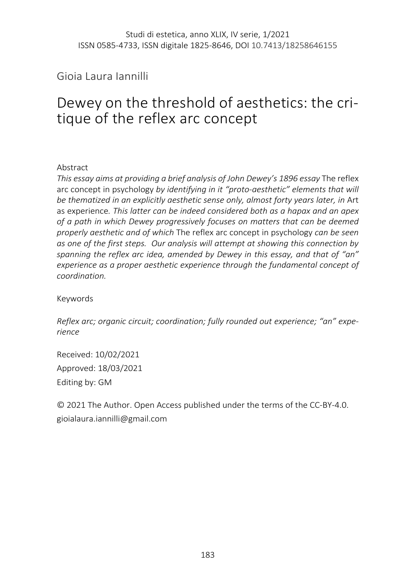Gioia Laura Iannilli

# Dewey on the threshold of aesthetics: the critique of the reflex arc concept

### Abstract

*This essay aims at providing a brief analysis of John Dewey's 1896 essay* The reflex arc concept in psychology *by identifying in it "proto-aesthetic" elements that will*  be thematized in an explicitly aesthetic sense only, almost forty years later, in Art as experience*. This latter can be indeed considered both as a hapax and an apex of a path in which Dewey progressively focuses on matters that can be deemed properly aesthetic and of which* The reflex arc concept in psychology *can be seen as one of the first steps. Our analysis will attempt at showing this connection by spanning the reflex arc idea, amended by Dewey in this essay, and that of "an" experience as a proper aesthetic experience through the fundamental concept of coordination.*

Keywords

*Reflex arc; organic circuit; coordination; fully rounded out experience; "an" experience*

Received: 10/02/2021 Approved: 18/03/2021 Editing by: GM

© 2021 The Author. Open Access published under the terms of the CC-BY-4.0. gioialaura.iannilli@gmail.com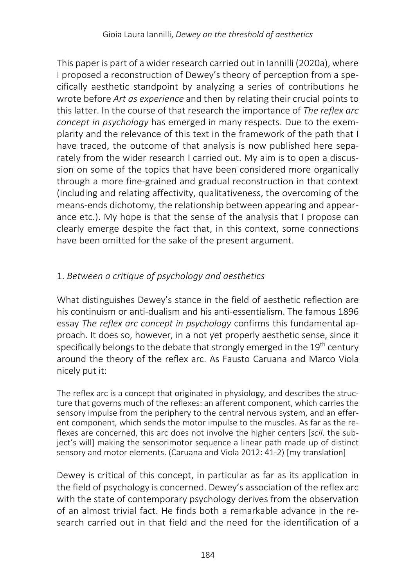This paper is part of a wider research carried out in Iannilli (2020a), where I proposed a reconstruction of Dewey's theory of perception from a specifically aesthetic standpoint by analyzing a series of contributions he wrote before *Art as experience* and then by relating their crucial points to this latter. In the course of that research the importance of *The reflex arc concept in psychology* has emerged in many respects. Due to the exemplarity and the relevance of this text in the framework of the path that I have traced, the outcome of that analysis is now published here separately from the wider research I carried out. My aim is to open a discussion on some of the topics that have been considered more organically through a more fine-grained and gradual reconstruction in that context (including and relating affectivity, qualitativeness, the overcoming of the means-ends dichotomy, the relationship between appearing and appearance etc.). My hope is that the sense of the analysis that I propose can clearly emerge despite the fact that, in this context, some connections have been omitted for the sake of the present argument.

# 1. *Between a critique of psychology and aesthetics*

What distinguishes Dewey's stance in the field of aesthetic reflection are his continuism or anti-dualism and his anti-essentialism. The famous 1896 essay *The reflex arc concept in psychology* confirms this fundamental approach. It does so, however, in a not yet properly aesthetic sense, since it specifically belongs to the debate that strongly emerged in the 19<sup>th</sup> century around the theory of the reflex arc. As Fausto Caruana and Marco Viola nicely put it:

The reflex arc is a concept that originated in physiology, and describes the structure that governs much of the reflexes: an afferent component, which carries the sensory impulse from the periphery to the central nervous system, and an efferent component, which sends the motor impulse to the muscles. As far as the reflexes are concerned, this arc does not involve the higher centers [*scil*. the subject's will] making the sensorimotor sequence a linear path made up of distinct sensory and motor elements. (Caruana and Viola 2012: 41-2) [my translation]

Dewey is critical of this concept, in particular as far as its application in the field of psychology is concerned. Dewey's association of the reflex arc with the state of contemporary psychology derives from the observation of an almost trivial fact. He finds both a remarkable advance in the research carried out in that field and the need for the identification of a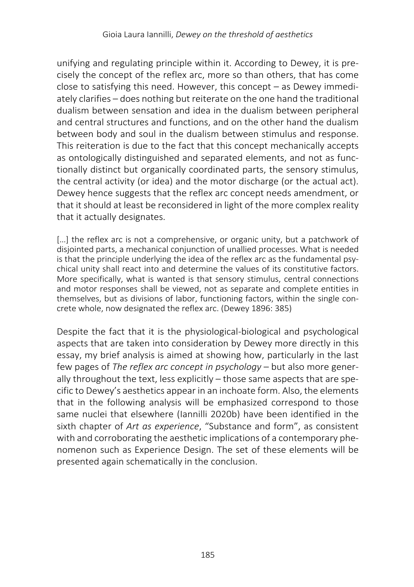unifying and regulating principle within it. According to Dewey, it is precisely the concept of the reflex arc, more so than others, that has come close to satisfying this need. However, this concept – as Dewey immediately clarifies – does nothing but reiterate on the one hand the traditional dualism between sensation and idea in the dualism between peripheral and central structures and functions, and on the other hand the dualism between body and soul in the dualism between stimulus and response. This reiteration is due to the fact that this concept mechanically accepts as ontologically distinguished and separated elements, and not as functionally distinct but organically coordinated parts, the sensory stimulus, the central activity (or idea) and the motor discharge (or the actual act). Dewey hence suggests that the reflex arc concept needs amendment, or that it should at least be reconsidered in light of the more complex reality that it actually designates.

[...] the reflex arc is not a comprehensive, or organic unity, but a patchwork of disjointed parts, a mechanical conjunction of unallied processes. What is needed is that the principle underlying the idea of the reflex arc as the fundamental psychical unity shall react into and determine the values of its constitutive factors. More specifically, what is wanted is that sensory stimulus, central connections and motor responses shall be viewed, not as separate and complete entities in themselves, but as divisions of labor, functioning factors, within the single concrete whole, now designated the reflex arc. (Dewey 1896: 385)

Despite the fact that it is the physiological-biological and psychological aspects that are taken into consideration by Dewey more directly in this essay, my brief analysis is aimed at showing how, particularly in the last few pages of *The reflex arc concept in psychology* – but also more generally throughout the text, less explicitly – those same aspects that are specific to Dewey's aesthetics appear in an inchoate form. Also, the elements that in the following analysis will be emphasized correspond to those same nuclei that elsewhere (Iannilli 2020b) have been identified in the sixth chapter of *Art as experience*, "Substance and form", as consistent with and corroborating the aesthetic implications of a contemporary phenomenon such as Experience Design. The set of these elements will be presented again schematically in the conclusion.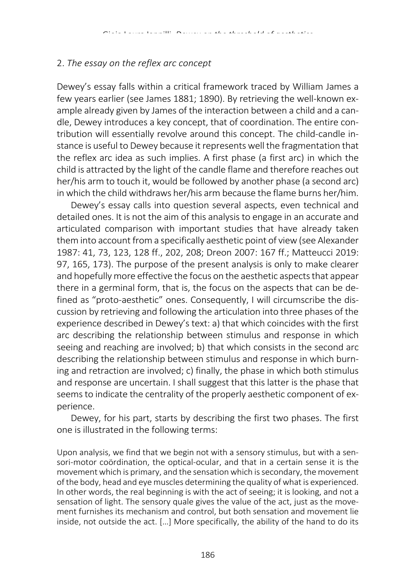#### 2. *The essay on the reflex arc concept*

Dewey's essay falls within a critical framework traced by William James a few years earlier (see James 1881; 1890). By retrieving the well-known example already given by James of the interaction between a child and a candle, Dewey introduces a key concept, that of coordination. The entire contribution will essentially revolve around this concept. The child-candle instance is useful to Dewey because it represents well the fragmentation that the reflex arc idea as such implies. A first phase (a first arc) in which the child is attracted by the light of the candle flame and therefore reaches out her/his arm to touch it, would be followed by another phase (a second arc) in which the child withdraws her/his arm because the flame burns her/him.

Dewey's essay calls into question several aspects, even technical and detailed ones. It is not the aim of this analysis to engage in an accurate and articulated comparison with important studies that have already taken them into account from a specifically aesthetic point of view(see Alexander 1987: 41, 73, 123, 128 ff., 202, 208; Dreon 2007: 167 ff.; Matteucci 2019: 97, 165, 173). The purpose of the present analysis is only to make clearer and hopefully more effective the focus on the aesthetic aspects that appear there in a germinal form, that is, the focus on the aspects that can be defined as "proto-aesthetic" ones. Consequently, I will circumscribe the discussion by retrieving and following the articulation into three phases of the experience described in Dewey's text: a) that which coincides with the first arc describing the relationship between stimulus and response in which seeing and reaching are involved; b) that which consists in the second arc describing the relationship between stimulus and response in which burning and retraction are involved; c) finally, the phase in which both stimulus and response are uncertain. I shall suggest that this latter is the phase that seems to indicate the centrality of the properly aesthetic component of experience.

Dewey, for his part, starts by describing the first two phases. The first one is illustrated in the following terms:

Upon analysis, we find that we begin not with a sensory stimulus, but with a sensori-motor coördination, the optical-ocular, and that in a certain sense it is the movement which is primary, and the sensation which is secondary, the movement of the body, head and eye muscles determining the quality of what is experienced. In other words, the real beginning is with the act of seeing; it is looking, and not a sensation of light. The sensory quale gives the value of the act, just as the movement furnishes its mechanism and control, but both sensation and movement lie inside, not outside the act. […] More specifically, the ability of the hand to do its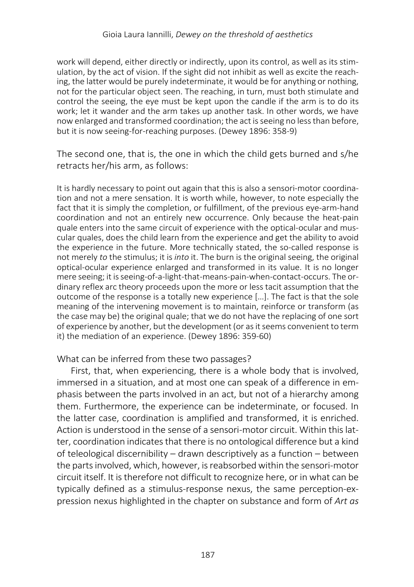work will depend, either directly or indirectly, upon its control, as well as its stimulation, by the act of vision. If the sight did not inhibit as well as excite the reaching, the latter would be purely indeterminate, it would be for anything or nothing, not for the particular object seen. The reaching, in turn, must both stimulate and control the seeing, the eye must be kept upon the candle if the arm is to do its work; let it wander and the arm takes up another task. In other words, we have now enlarged and transformed coordination; the act is seeing no less than before, but it is now seeing-for-reaching purposes. (Dewey 1896: 358-9)

The second one, that is, the one in which the child gets burned and s/he retracts her/his arm, as follows:

It is hardly necessary to point out again that this is also a sensori-motor coordination and not a mere sensation. It is worth while, however, to note especially the fact that it is simply the completion, or fulfillment, of the previous eye-arm-hand coordination and not an entirely new occurrence. Only because the heat-pain quale enters into the same circuit of experience with the optical-ocular and muscular quales, does the child learn from the experience and get the ability to avoid the experience in the future. More technically stated, the so-called response is not merely *to* the stimulus; it is *into* it. The burn is the original seeing, the original optical-ocular experience enlarged and transformed in its value. It is no longer mere seeing; it is seeing-of-a-light-that-means-pain-when-contact-occurs. The ordinary reflex arc theory proceeds upon the more or less tacit assumption that the outcome of the response is a totally new experience […]. The fact is that the sole meaning of the intervening movement is to maintain, reinforce or transform (as the case may be) the original quale; that we do not have the replacing of one sort of experience by another, but the development (or as it seems convenient to term it) the mediation of an experience. (Dewey 1896: 359-60)

#### What can be inferred from these two passages?

First, that, when experiencing, there is a whole body that is involved, immersed in a situation, and at most one can speak of a difference in emphasis between the parts involved in an act, but not of a hierarchy among them. Furthermore, the experience can be indeterminate, or focused. In the latter case, coordination is amplified and transformed, it is enriched. Action is understood in the sense of a sensori-motor circuit. Within this latter, coordination indicates that there is no ontological difference but a kind of teleological discernibility – drawn descriptively as a function – between the parts involved, which, however, is reabsorbed within the sensori-motor circuit itself. It is therefore not difficult to recognize here, or in what can be typically defined as a stimulus-response nexus, the same perception-expression nexus highlighted in the chapter on substance and form of *Art as*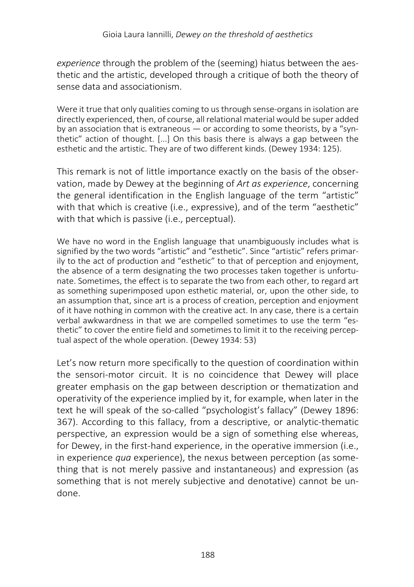*experience* through the problem of the (seeming) hiatus between the aesthetic and the artistic, developed through a critique of both the theory of sense data and associationism.

Were it true that only qualities coming to us through sense-organs in isolation are directly experienced, then, of course, all relational material would be super added by an association that is extraneous — or according to some theorists, by a "synthetic" action of thought. [...] On this basis there is always a gap between the esthetic and the artistic. They are of two different kinds. (Dewey 1934: 125).

This remark is not of little importance exactly on the basis of the observation, made by Dewey at the beginning of *Art as experience*, concerning the general identification in the English language of the term "artistic" with that which is creative (i.e., expressive), and of the term "aesthetic" with that which is passive (i.e., perceptual).

We have no word in the English language that unambiguously includes what is signified by the two words "artistic" and "esthetic". Since "artistic" refers primarily to the act of production and "esthetic" to that of perception and enjoyment, the absence of a term designating the two processes taken together is unfortunate. Sometimes, the effect is to separate the two from each other, to regard art as something superimposed upon esthetic material, or, upon the other side, to an assumption that, since art is a process of creation, perception and enjoyment of it have nothing in common with the creative act. In any case, there is a certain verbal awkwardness in that we are compelled sometimes to use the term "esthetic" to cover the entire field and sometimes to limit it to the receiving perceptual aspect of the whole operation. (Dewey 1934: 53)

Let's now return more specifically to the question of coordination within the sensori-motor circuit. It is no coincidence that Dewey will place greater emphasis on the gap between description or thematization and operativity of the experience implied by it, for example, when later in the text he will speak of the so-called "psychologist's fallacy" (Dewey 1896: 367). According to this fallacy, from a descriptive, or analytic-thematic perspective, an expression would be a sign of something else whereas, for Dewey, in the first-hand experience, in the operative immersion (i.e., in experience *qua* experience), the nexus between perception (as something that is not merely passive and instantaneous) and expression (as something that is not merely subjective and denotative) cannot be undone.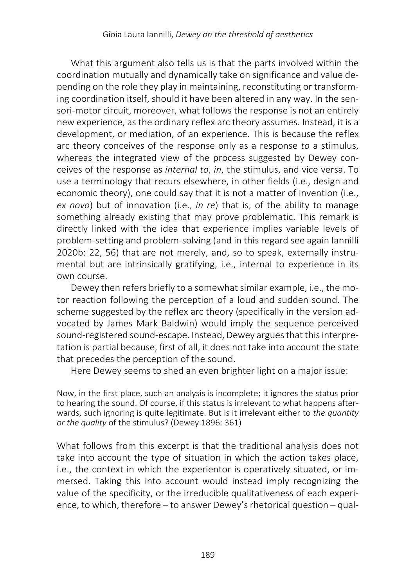What this argument also tells us is that the parts involved within the coordination mutually and dynamically take on significance and value depending on the role they play in maintaining, reconstituting or transforming coordination itself, should it have been altered in any way. In the sensori-motor circuit, moreover, what follows the response is not an entirely new experience, as the ordinary reflex arc theory assumes. Instead, it is a development, or mediation, of an experience. This is because the reflex arc theory conceives of the response only as a response *to* a stimulus, whereas the integrated view of the process suggested by Dewey conceives of the response as *internal to*, *in*, the stimulus, and vice versa. To use a terminology that recurs elsewhere, in other fields (i.e., design and economic theory), one could say that it is not a matter of invention (i.e., *ex novo*) but of innovation (i.e., *in re*) that is, of the ability to manage something already existing that may prove problematic. This remark is directly linked with the idea that experience implies variable levels of problem-setting and problem-solving (and in this regard see again Iannilli 2020b: 22, 56) that are not merely, and, so to speak, externally instrumental but are intrinsically gratifying, i.e., internal to experience in its own course.

Dewey then refers briefly to a somewhat similar example, i.e., the motor reaction following the perception of a loud and sudden sound. The scheme suggested by the reflex arc theory (specifically in the version advocated by James Mark Baldwin) would imply the sequence perceived sound-registered sound-escape. Instead, Dewey argues that this interpretation is partial because, first of all, it does not take into account the state that precedes the perception of the sound.

Here Dewey seems to shed an even brighter light on a major issue:

Now, in the first place, such an analysis is incomplete; it ignores the status prior to hearing the sound. Of course, if this status is irrelevant to what happens afterwards, such ignoring is quite legitimate. But is it irrelevant either to *the quantity or the quality* of the stimulus? (Dewey 1896: 361)

What follows from this excerpt is that the traditional analysis does not take into account the type of situation in which the action takes place, i.e., the context in which the experientor is operatively situated, or immersed. Taking this into account would instead imply recognizing the value of the specificity, or the irreducible qualitativeness of each experience, to which, therefore – to answer Dewey's rhetorical question – qual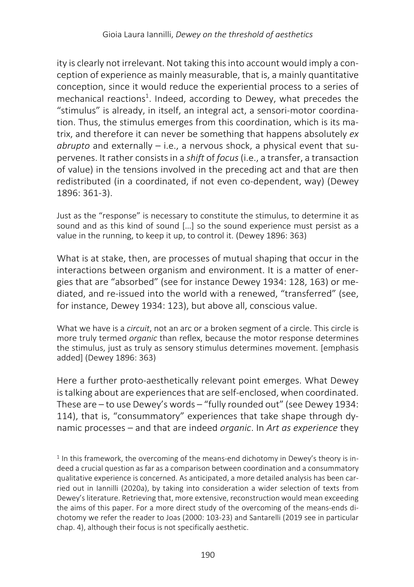ity is clearly not irrelevant. Not taking this into account would imply a conception of experience as mainly measurable, that is, a mainly quantitative conception, since it would reduce the experiential process to a series of mechanical reactions<sup>1</sup>. Indeed, according to Dewey, what precedes the "stimulus" is already, in itself, an integral act, a sensori-motor coordination. Thus, the stimulus emerges from this coordination, which is its matrix, and therefore it can never be something that happens absolutely *ex abrupto* and externally – i.e., a nervous shock, a physical event that supervenes. It rather consists in a *shift* of *focus*(i.e., a transfer, a transaction of value) in the tensions involved in the preceding act and that are then redistributed (in a coordinated, if not even co-dependent, way) (Dewey 1896: 361-3).

Just as the "response" is necessary to constitute the stimulus, to determine it as sound and as this kind of sound [...] so the sound experience must persist as a value in the running, to keep it up, to control it. (Dewey 1896: 363)

What is at stake, then, are processes of mutual shaping that occur in the interactions between organism and environment. It is a matter of energies that are "absorbed" (see for instance Dewey 1934: 128, 163) or mediated, and re-issued into the world with a renewed, "transferred" (see, for instance, Dewey 1934: 123), but above all, conscious value.

What we have is a *circuit*, not an arc or a broken segment of a circle. This circle is more truly termed *organic* than reflex, because the motor response determines the stimulus, just as truly as sensory stimulus determines movement. [emphasis added] (Dewey 1896: 363)

Here a further proto-aesthetically relevant point emerges. What Dewey is talking about are experiences that are self-enclosed, when coordinated. These are – to use Dewey's words – "fully rounded out" (see Dewey 1934: 114), that is, "consummatory" experiences that take shape through dynamic processes – and that are indeed *organic*. In *Art as experience* they

 $1$  In this framework, the overcoming of the means-end dichotomy in Dewey's theory is indeed a crucial question as far as a comparison between coordination and a consummatory qualitative experience is concerned. As anticipated, a more detailed analysis has been carried out in Iannilli (2020a), by taking into consideration a wider selection of texts from Dewey's literature. Retrieving that, more extensive, reconstruction would mean exceeding the aims of this paper. For a more direct study of the overcoming of the means-ends dichotomy we refer the reader to Joas (2000: 103-23) and Santarelli (2019 see in particular chap. 4), although their focus is not specifically aesthetic.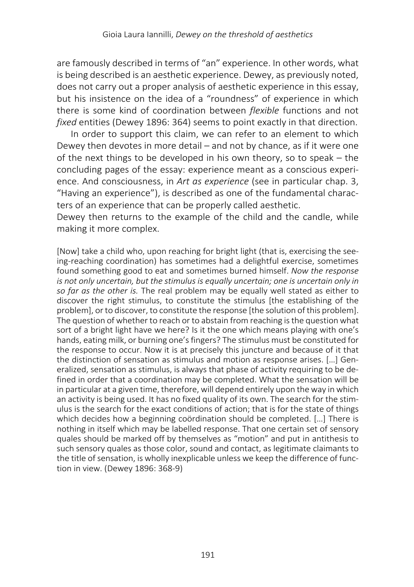are famously described in terms of "an" experience. In other words, what is being described is an aesthetic experience. Dewey, as previously noted, does not carry out a proper analysis of aesthetic experience in this essay, but his insistence on the idea of a "roundness" of experience in which there is some kind of coordination between *flexible* functions and not *fixed* entities (Dewey 1896: 364) seems to point exactly in that direction.

In order to support this claim, we can refer to an element to which Dewey then devotes in more detail – and not by chance, as if it were one of the next things to be developed in his own theory, so to speak – the concluding pages of the essay: experience meant as a conscious experience. And consciousness, in *Art as experience* (see in particular chap. 3, "Having an experience"), is described as one of the fundamental characters of an experience that can be properly called aesthetic.

Dewey then returns to the example of the child and the candle, while making it more complex.

[Now] take a child who, upon reaching for bright light (that is, exercising the seeing-reaching coordination) has sometimes had a delightful exercise, sometimes found something good to eat and sometimes burned himself. *Now the response is not only uncertain, but the stimulus is equally uncertain; one is uncertain only in so far as the other is.* The real problem may be equally well stated as either to discover the right stimulus, to constitute the stimulus [the establishing of the problem], or to discover, to constitute the response [the solution of this problem]. The question of whether to reach or to abstain from reaching is the question what sort of a bright light have we here? Is it the one which means playing with one's hands, eating milk, or burning one's fingers? The stimulus must be constituted for the response to occur. Now it is at precisely this juncture and because of it that the distinction of sensation as stimulus and motion as response arises. […] Generalized, sensation as stimulus, is always that phase of activity requiring to be defined in order that a coordination may be completed. What the sensation will be in particular at a given time, therefore, will depend entirely upon the way in which an activity is being used. It has no fixed quality of its own. The search for the stimulus is the search for the exact conditions of action; that is for the state of things which decides how a beginning coördination should be completed. […] There is nothing in itself which may be labelled response. That one certain set of sensory quales should be marked off by themselves as "motion" and put in antithesis to such sensory quales as those color, sound and contact, as legitimate claimants to the title of sensation, is wholly inexplicable unless we keep the difference of function in view. (Dewey 1896: 368-9)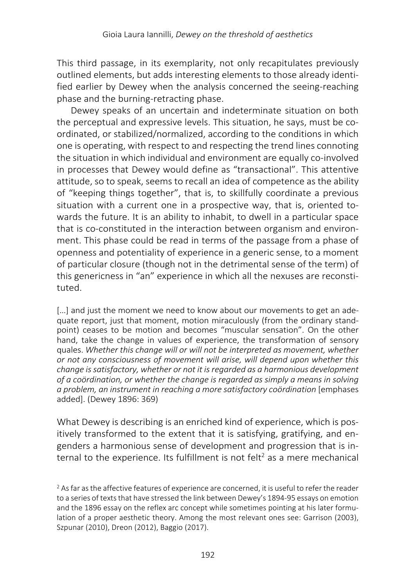This third passage, in its exemplarity, not only recapitulates previously outlined elements, but adds interesting elements to those already identified earlier by Dewey when the analysis concerned the seeing-reaching phase and the burning-retracting phase.

Dewey speaks of an uncertain and indeterminate situation on both the perceptual and expressive levels. This situation, he says, must be coordinated, or stabilized/normalized, according to the conditions in which one is operating, with respect to and respecting the trend lines connoting the situation in which individual and environment are equally co-involved in processes that Dewey would define as "transactional". This attentive attitude, so to speak, seems to recall an idea of competence as the ability of "keeping things together", that is, to skillfully coordinate a previous situation with a current one in a prospective way, that is, oriented towards the future. It is an ability to inhabit, to dwell in a particular space that is co-constituted in the interaction between organism and environment. This phase could be read in terms of the passage from a phase of openness and potentiality of experience in a generic sense, to a moment of particular closure (though not in the detrimental sense of the term) of this genericness in "an" experience in which all the nexuses are reconstituted.

[...] and just the moment we need to know about our movements to get an adequate report, just that moment, motion miraculously (from the ordinary standpoint) ceases to be motion and becomes "muscular sensation". On the other hand, take the change in values of experience, the transformation of sensory quales. *Whether this change will or will not be interpreted as movement, whether or not any consciousness of movement will arise, will depend upon whether this change is satisfactory, whether or not it is regarded as a harmonious development of a coördination, or whether the change is regarded as simply a means in solving a problem, an instrument in reaching a more satisfactory coördination* [emphases added]. (Dewey 1896: 369)

What Dewey is describing is an enriched kind of experience, which is positively transformed to the extent that it is satisfying, gratifying, and engenders a harmonious sense of development and progression that is internal to the experience. Its fulfillment is not felt<sup>2</sup> as a mere mechanical

 $2$  As far as the affective features of experience are concerned, it is useful to refer the reader to a series of texts that have stressed the link between Dewey's 1894-95 essays on emotion and the 1896 essay on the reflex arc concept while sometimes pointing at his later formulation of a proper aesthetic theory. Among the most relevant ones see: Garrison (2003), Szpunar (2010), Dreon (2012), Baggio (2017).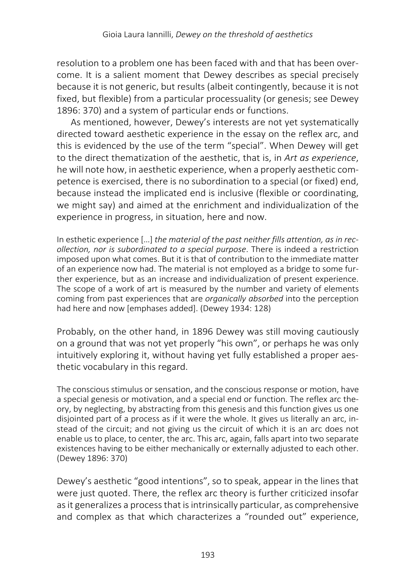resolution to a problem one has been faced with and that has been overcome. It is a salient moment that Dewey describes as special precisely because it is not generic, but results (albeit contingently, because it is not fixed, but flexible) from a particular processuality (or genesis; see Dewey 1896: 370) and a system of particular ends or functions.

As mentioned, however, Dewey's interests are not yet systematically directed toward aesthetic experience in the essay on the reflex arc, and this is evidenced by the use of the term "special". When Dewey will get to the direct thematization of the aesthetic, that is, in *Art as experience*, he will note how, in aesthetic experience, when a properly aesthetic competence is exercised, there is no subordination to a special (or fixed) end, because instead the implicated end is inclusive (flexible or coordinating, we might say) and aimed at the enrichment and individualization of the experience in progress, in situation, here and now.

In esthetic experience […] *the material of the past neither fills attention, as in recollection, nor is subordinated to a special purpose*. There is indeed a restriction imposed upon what comes. But it is that of contribution to the immediate matter of an experience now had. The material is not employed as a bridge to some further experience, but as an increase and individualization of present experience. The scope of a work of art is measured by the number and variety of elements coming from past experiences that are *organically absorbed* into the perception had here and now [emphases added]. (Dewey 1934: 128)

Probably, on the other hand, in 1896 Dewey was still moving cautiously on a ground that was not yet properly "his own", or perhaps he was only intuitively exploring it, without having yet fully established a proper aesthetic vocabulary in this regard.

The conscious stimulus or sensation, and the conscious response or motion, have a special genesis or motivation, and a special end or function. The reflex arc theory, by neglecting, by abstracting from this genesis and this function gives us one disjointed part of a process as if it were the whole. It gives us literally an arc, instead of the circuit; and not giving us the circuit of which it is an arc does not enable us to place, to center, the arc. This arc, again, falls apart into two separate existences having to be either mechanically or externally adjusted to each other. (Dewey 1896: 370)

Dewey's aesthetic "good intentions", so to speak, appear in the lines that were just quoted. There, the reflex arc theory is further criticized insofar as it generalizes a process that is intrinsically particular, as comprehensive and complex as that which characterizes a "rounded out" experience,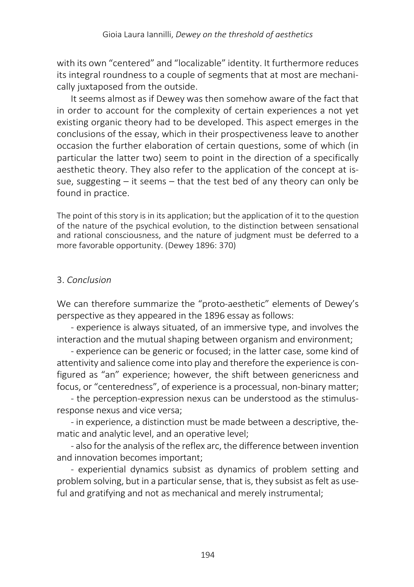with its own "centered" and "localizable" identity. It furthermore reduces its integral roundness to a couple of segments that at most are mechanically juxtaposed from the outside.

It seems almost as if Dewey was then somehow aware of the fact that in order to account for the complexity of certain experiences a not yet existing organic theory had to be developed. This aspect emerges in the conclusions of the essay, which in their prospectiveness leave to another occasion the further elaboration of certain questions, some of which (in particular the latter two) seem to point in the direction of a specifically aesthetic theory. They also refer to the application of the concept at issue, suggesting – it seems – that the test bed of any theory can only be found in practice.

The point of this story is in its application; but the application of it to the question of the nature of the psychical evolution, to the distinction between sensational and rational consciousness, and the nature of judgment must be deferred to a more favorable opportunity. (Dewey 1896: 370)

# 3. *Conclusion*

We can therefore summarize the "proto-aesthetic" elements of Dewey's perspective as they appeared in the 1896 essay as follows:

- experience is always situated, of an immersive type, and involves the interaction and the mutual shaping between organism and environment;

- experience can be generic or focused; in the latter case, some kind of attentivity and salience come into play and therefore the experience is configured as "an" experience; however, the shift between genericness and focus, or "centeredness", of experience is a processual, non-binary matter;

- the perception-expression nexus can be understood as the stimulusresponse nexus and vice versa;

- in experience, a distinction must be made between a descriptive, thematic and analytic level, and an operative level;

- also for the analysis of the reflex arc, the difference between invention and innovation becomes important;

- experiential dynamics subsist as dynamics of problem setting and problem solving, but in a particular sense, that is, they subsist as felt as useful and gratifying and not as mechanical and merely instrumental;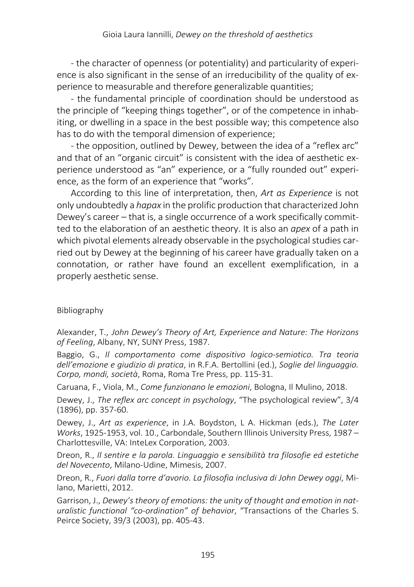- the character of openness (or potentiality) and particularity of experience is also significant in the sense of an irreducibility of the quality of experience to measurable and therefore generalizable quantities;

- the fundamental principle of coordination should be understood as the principle of "keeping things together", or of the competence in inhabiting, or dwelling in a space in the best possible way; this competence also has to do with the temporal dimension of experience;

- the opposition, outlined by Dewey, between the idea of a "reflex arc" and that of an "organic circuit" is consistent with the idea of aesthetic experience understood as "an" experience, or a "fully rounded out" experience, as the form of an experience that "works".

According to this line of interpretation, then, *Art as Experience* is not only undoubtedly a *hapax* in the prolific production that characterized John Dewey's career – that is, a single occurrence of a work specifically committed to the elaboration of an aesthetic theory. It is also an *apex* of a path in which pivotal elements already observable in the psychological studies carried out by Dewey at the beginning of his career have gradually taken on a connotation, or rather have found an excellent exemplification, in a properly aesthetic sense.

## Bibliography

Alexander, T., *John Dewey's Theory of Art, Experience and Nature: The Horizons of Feeling*, Albany, NY, SUNY Press, 1987.

Baggio, G., *Il comportamento come dispositivo logico-semiotico. Tra teoria dell'emozione e giudizio di pratica*, in R.F.A. Bertollini (ed.), *Soglie del linguaggio. Corpo, mondi, società*, Roma, Roma Tre Press, pp. 115-31.

Caruana, F., Viola, M., *Come funzionano le emozioni*, Bologna, Il Mulino, 2018.

Dewey, J., *The reflex arc concept in psychology*, "The psychological review", 3/4 (1896), pp. 357-60.

Dewey, J., *Art as experience*, in J.A. Boydston, L A. Hickman (eds.), *The Later Works*, 1925-1953, vol. 10., Carbondale, Southern Illinois University Press, 1987 – Charlottesville, VA: InteLex Corporation, 2003.

Dreon, R., *Il sentire e la parola. Linguaggio e sensibilità tra filosofie ed estetiche del Novecento*, Milano-Udine, Mimesis, 2007.

Dreon, R., *Fuori dalla torre d'avorio. La filosofia inclusiva di John Dewey oggi*, Milano, Marietti, 2012.

Garrison, J., *Dewey's theory of emotions: the unity of thought and emotion in naturalistic functional "co-ordination" of behavior*, "Transactions of the Charles S. Peirce Society, 39/3 (2003), pp. 405-43.